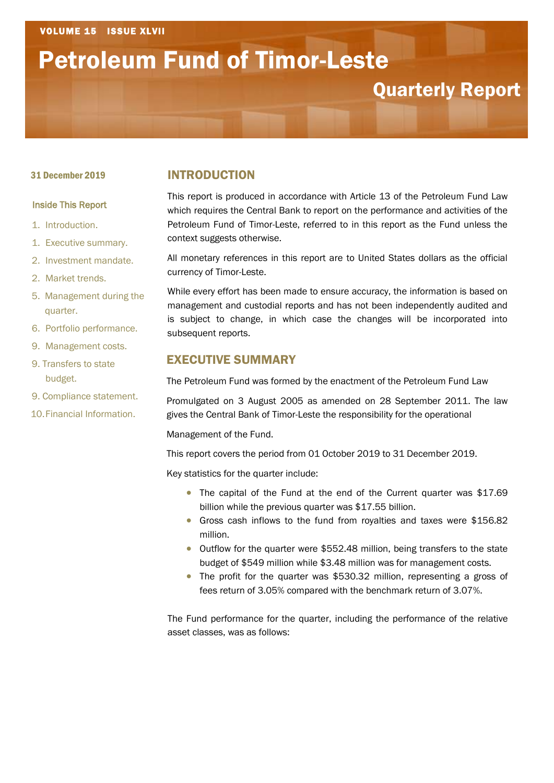# Petroleum Fund of Timor-Leste

## Quarterly Report

#### 31 December 2019

#### Inside This Report

- 1. Introduction.
- 1. Executive summary.
- 2. Investment mandate.
- 2. Market trends.
- 5. Management during the quarter.
- 6. Portfolio performance.
- 9. Management costs.
- 9. Transfers to state budget.
- 9. Compliance statement.
- 10. Financial Information.

#### INTRODUCTION

This report is produced in accordance with Article 13 of the Petroleum Fund Law which requires the Central Bank to report on the performance and activities of the Petroleum Fund of Timor-Leste, referred to in this report as the Fund unless the context suggests otherwise.

All monetary references in this report are to United States dollars as the official currency of Timor-Leste.

While every effort has been made to ensure accuracy, the information is based on management and custodial reports and has not been independently audited and is subject to change, in which case the changes will be incorporated into subsequent reports.

#### EXECUTIVE SUMMARY

The Petroleum Fund was formed by the enactment of the Petroleum Fund Law

Promulgated on 3 August 2005 as amended on 28 September 2011. The law gives the Central Bank of Timor-Leste the responsibility for the operational

Management of the Fund.

This report covers the period from 01 October 2019 to 31 December 2019.

Key statistics for the quarter include:

- The capital of the Fund at the end of the Current quarter was \$17.69 billion while the previous quarter was \$17.55 billion.
- Gross cash inflows to the fund from royalties and taxes were \$156.82 million.
- Outflow for the quarter were \$552.48 million, being transfers to the state budget of \$549 million while \$3.48 million was for management costs.
- The profit for the quarter was \$530.32 million, representing a gross of fees return of 3.05% compared with the benchmark return of 3.07%.

The Fund performance for the quarter, including the performance of the relative asset classes, was as follows: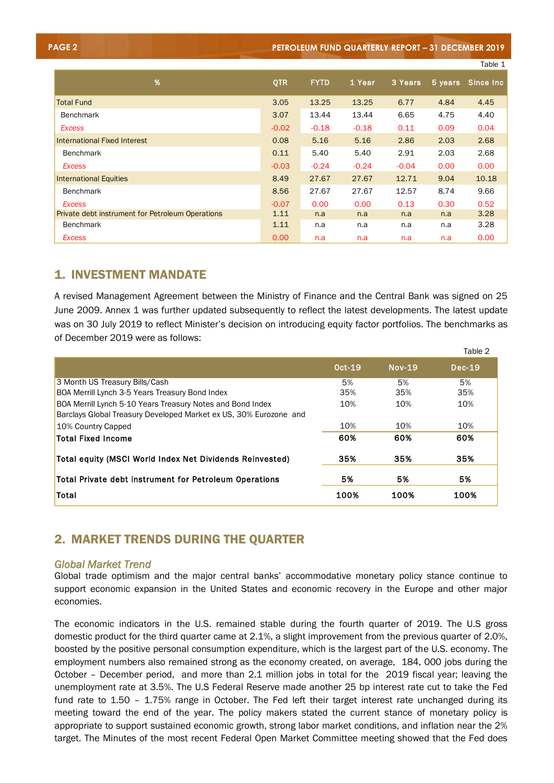| <b>PAGE 2</b>                                    |            |             |         | PETROLEUM FUND QUARTERLY REPORT - 31 DECEMBER 2019 |           |            |
|--------------------------------------------------|------------|-------------|---------|----------------------------------------------------|-----------|------------|
|                                                  |            |             |         |                                                    |           | Table 1    |
| %                                                | <b>QTR</b> | <b>FYTD</b> | 1 Year  | 3 Years                                            | $5$ years | Since Inc. |
| <b>Total Fund</b>                                | 3.05       | 13.25       | 13.25   | 6.77                                               | 4.84      | 4.45       |
| <b>Benchmark</b>                                 | 3.07       | 13.44       | 13.44   | 6.65                                               | 4.75      | 4.40       |
| <b>Excess</b>                                    | $-0.02$    | $-0.18$     | $-0.18$ | 0.11                                               | 0.09      | 0.04       |
| International Fixed Interest                     | 0.08       | 5.16        | 5.16    | 2.86                                               | 2.03      | 2.68       |
| <b>Benchmark</b>                                 | 0.11       | 5.40        | 5.40    | 2.91                                               | 2.03      | 2.68       |
| <b>Excess</b>                                    | $-0.03$    | $-0.24$     | $-0.24$ | $-0.04$                                            | 0.00      | 0.00       |
| <b>International Equities</b>                    | 8.49       | 27.67       | 27.67   | 12.71                                              | 9.04      | 10.18      |
| <b>Benchmark</b>                                 | 8.56       | 27.67       | 27.67   | 12.57                                              | 8.74      | 9.66       |
| <b>Excess</b>                                    | $-0.07$    | 0.00        | 0.00    | 0.13                                               | 0.30      | 0.52       |
| Private debt instrument for Petroleum Operations | 1.11       | n.a         | n.a     | n.a                                                | n.a       | 3.28       |
| <b>Benchmark</b>                                 | 1.11       | n.a         | n.a     | n.a                                                | n.a       | 3.28       |
| <b>Excess</b>                                    | 0.00       | n.a         | n.a     | n.a                                                | n.a       | 0.00       |

#### 1. INVESTMENT MANDATE

A revised Management Agreement between the Ministry of Finance and the Central Bank was signed on 25 June 2009. Annex 1 was further updated subsequently to reflect the latest developments. The latest update was on 30 July 2019 to reflect Minister's decision on introducing equity factor portfolios. The benchmarks as of December 2019 were as follows:

|                                                                                                                                 |        |               | Table 2  |
|---------------------------------------------------------------------------------------------------------------------------------|--------|---------------|----------|
|                                                                                                                                 | Oct-19 | <b>Nov-19</b> | $Dec-19$ |
| 3 Month US Treasury Bills/Cash                                                                                                  | 5%     | 5%            | 5%       |
| BOA Merrill Lynch 3-5 Years Treasury Bond Index                                                                                 | 35%    | 35%           | 35%      |
| BOA Merrill Lynch 5-10 Years Treasury Notes and Bond Index<br>Barclays Global Treasury Developed Market ex US, 30% Eurozone and | 10%    | 10%           | 10%      |
| 10% Country Capped                                                                                                              | 10%    | 10%           | 10%      |
| <b>Total Fixed Income</b>                                                                                                       | 60%    | 60%           | 60%      |
| Total equity (MSCI World Index Net Dividends Reinvested)                                                                        | 35%    | 35%           | 35%      |
| Total Private debt instrument for Petroleum Operations                                                                          | 5%     | 5%            | 5%       |
| Total                                                                                                                           | 100%   | 100%          | 100%     |

### 2. MARKET TRENDS DURING THE QUARTER

#### *Global Market Trend*

Global trade optimism and the major central banks' accommodative monetary policy stance continue to support economic expansion in the United States and economic recovery in the Europe and other major economies.

The economic indicators in the U.S. remained stable during the fourth quarter of 2019. The U.S gross domestic product for the third quarter came at 2.1%, a slight improvement from the previous quarter of 2.0%, boosted by the positive personal consumption expenditure, which is the largest part of the U.S. economy. The employment numbers also remained strong as the economy created, on average, 184, 000 jobs during the October – December period, and more than 2.1 million jobs in total for the 2019 fiscal year; leaving the unemployment rate at 3.5%. The U.S Federal Reserve made another 25 bp interest rate cut to take the Fed fund rate to 1.50 – 1.75% range in October. The Fed left their target interest rate unchanged during its meeting toward the end of the year. The policy makers stated the current stance of monetary policy is appropriate to support sustained economic growth, strong labor market conditions, and inflation near the 2% target. The Minutes of the most recent Federal Open Market Committee meeting showed that the Fed does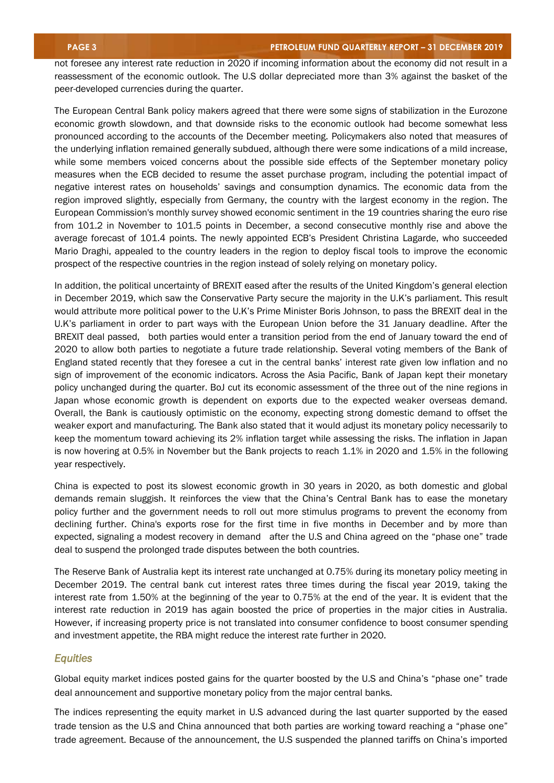not foresee any interest rate reduction in 2020 if incoming information about the economy did not result in a reassessment of the economic outlook. The U.S dollar depreciated more than 3% against the basket of the peer-developed currencies during the quarter.

The European Central Bank policy makers agreed that there were some signs of stabilization in the Eurozone economic growth slowdown, and that downside risks to the economic outlook had become somewhat less pronounced according to the accounts of the December meeting. Policymakers also noted that measures of the underlying inflation remained generally subdued, although there were some indications of a mild increase, while some members voiced concerns about the possible side effects of the September monetary policy measures when the ECB decided to resume the asset purchase program, including the potential impact of negative interest rates on households' savings and consumption dynamics. The economic data from the region improved slightly, especially from Germany, the country with the largest economy in the region. The European Commission's monthly survey showed economic sentiment in the 19 countries sharing the euro rise from 101.2 in November to 101.5 points in December, a second consecutive monthly rise and above the average forecast of 101.4 points. The newly appointed ECB's President Christina Lagarde, who succeeded Mario Draghi, appealed to the country leaders in the region to deploy fiscal tools to improve the economic prospect of the respective countries in the region instead of solely relying on monetary policy.

In addition, the political uncertainty of BREXIT eased after the results of the United Kingdom's general election in December 2019, which saw the Conservative Party secure the majority in the U.K's parliament. This result would attribute more political power to the U.K's Prime Minister Boris Johnson, to pass the BREXIT deal in the U.K's parliament in order to part ways with the European Union before the 31 January deadline. After the BREXIT deal passed, both parties would enter a transition period from the end of January toward the end of 2020 to allow both parties to negotiate a future trade relationship. Several voting members of the Bank of England stated recently that they foresee a cut in the central banks' interest rate given low inflation and no sign of improvement of the economic indicators. Across the Asia Pacific, Bank of Japan kept their monetary policy unchanged during the quarter. BoJ cut its economic assessment of the three out of the nine regions in Japan whose economic growth is dependent on exports due to the expected weaker overseas demand. Overall, the Bank is cautiously optimistic on the economy, expecting strong domestic demand to offset the weaker export and manufacturing. The Bank also stated that it would adjust its monetary policy necessarily to keep the momentum toward achieving its 2% inflation target while assessing the risks. The inflation in Japan is now hovering at 0.5% in November but the Bank projects to reach 1.1% in 2020 and 1.5% in the following year respectively.

China is expected to post its slowest economic growth in 30 years in 2020, as both domestic and global demands remain sluggish. It reinforces the view that the China's Central Bank has to ease the monetary policy further and the government needs to roll out more stimulus programs to prevent the economy from declining further. China's exports rose for the first time in five months in December and by more than expected, signaling a modest recovery in demand after the U.S and China agreed on the "phase one" trade deal to suspend the prolonged trade disputes between the both countries.

The Reserve Bank of Australia kept its interest rate unchanged at 0.75% during its monetary policy meeting in December 2019. The central bank cut interest rates three times during the fiscal year 2019, taking the interest rate from 1.50% at the beginning of the year to 0.75% at the end of the year. It is evident that the interest rate reduction in 2019 has again boosted the price of properties in the major cities in Australia. However, if increasing property price is not translated into consumer confidence to boost consumer spending and investment appetite, the RBA might reduce the interest rate further in 2020.

#### *Equities*

Global equity market indices posted gains for the quarter boosted by the U.S and China's "phase one" trade deal announcement and supportive monetary policy from the major central banks.

The indices representing the equity market in U.S advanced during the last quarter supported by the eased trade tension as the U.S and China announced that both parties are working toward reaching a "phase one" trade agreement. Because of the announcement, the U.S suspended the planned tariffs on China's imported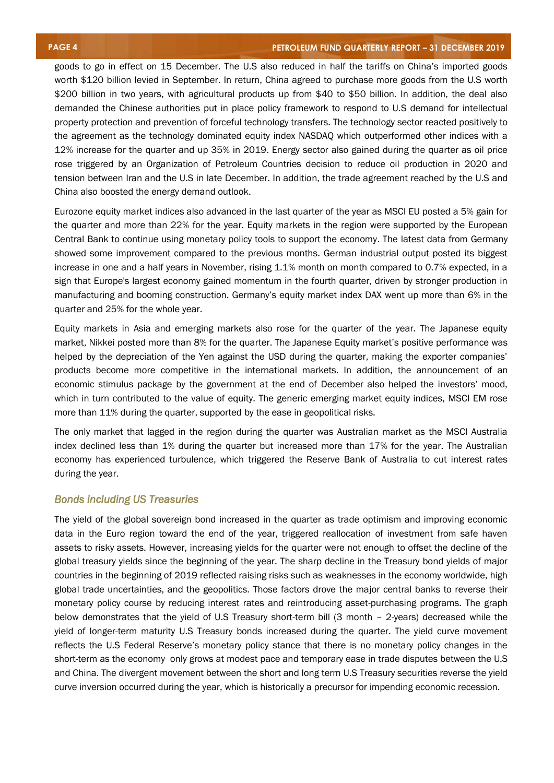goods to go in effect on 15 December. The U.S also reduced in half the tariffs on China's imported goods worth \$120 billion levied in September. In return, China agreed to purchase more goods from the U.S worth \$200 billion in two years, with agricultural products up from \$40 to \$50 billion. In addition, the deal also demanded the Chinese authorities put in place policy framework to respond to U.S demand for intellectual property protection and prevention of forceful technology transfers. The technology sector reacted positively to the agreement as the technology dominated equity index NASDAQ which outperformed other indices with a 12% increase for the quarter and up 35% in 2019. Energy sector also gained during the quarter as oil price rose triggered by an Organization of Petroleum Countries decision to reduce oil production in 2020 and tension between Iran and the U.S in late December. In addition, the trade agreement reached by the U.S and China also boosted the energy demand outlook.

Eurozone equity market indices also advanced in the last quarter of the year as MSCI EU posted a 5% gain for the quarter and more than 22% for the year. Equity markets in the region were supported by the European Central Bank to continue using monetary policy tools to support the economy. The latest data from Germany showed some improvement compared to the previous months. German industrial output posted its biggest increase in one and a half years in November, rising 1.1% month on month compared to 0.7% expected, in a sign that Europe's largest economy gained momentum in the fourth quarter, driven by stronger production in manufacturing and booming construction. Germany's equity market index DAX went up more than 6% in the quarter and 25% for the whole year.

Equity markets in Asia and emerging markets also rose for the quarter of the year. The Japanese equity market, Nikkei posted more than 8% for the quarter. The Japanese Equity market's positive performance was helped by the depreciation of the Yen against the USD during the quarter, making the exporter companies' products become more competitive in the international markets. In addition, the announcement of an economic stimulus package by the government at the end of December also helped the investors' mood, which in turn contributed to the value of equity. The generic emerging market equity indices, MSCI EM rose more than 11% during the quarter, supported by the ease in geopolitical risks.

The only market that lagged in the region during the quarter was Australian market as the MSCI Australia index declined less than 1% during the quarter but increased more than 17% for the year. The Australian economy has experienced turbulence, which triggered the Reserve Bank of Australia to cut interest rates during the year.

#### *Bonds including US Treasuries*

The yield of the global sovereign bond increased in the quarter as trade optimism and improving economic data in the Euro region toward the end of the year, triggered reallocation of investment from safe haven assets to risky assets. However, increasing yields for the quarter were not enough to offset the decline of the global treasury yields since the beginning of the year. The sharp decline in the Treasury bond yields of major countries in the beginning of 2019 reflected raising risks such as weaknesses in the economy worldwide, high global trade uncertainties, and the geopolitics. Those factors drove the major central banks to reverse their monetary policy course by reducing interest rates and reintroducing asset-purchasing programs. The graph below demonstrates that the yield of U.S Treasury short-term bill (3 month – 2-years) decreased while the yield of longer-term maturity U.S Treasury bonds increased during the quarter. The yield curve movement reflects the U.S Federal Reserve's monetary policy stance that there is no monetary policy changes in the short-term as the economy only grows at modest pace and temporary ease in trade disputes between the U.S and China. The divergent movement between the short and long term U.S Treasury securities reverse the yield curve inversion occurred during the year, which is historically a precursor for impending economic recession.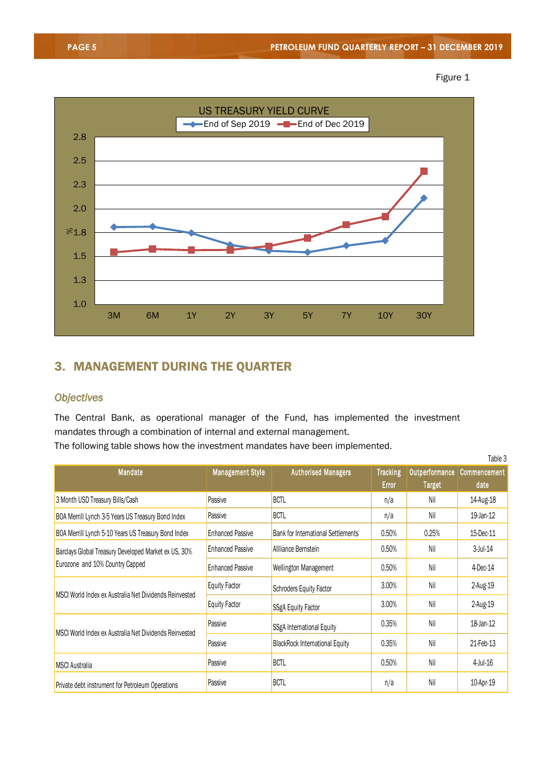



### 3. MANAGEMENT DURING THE QUARTER

#### *Objectives*

The Central Bank, as operational manager of the Fund, has implemented the investment mandates through a combination of internal and external management.

The following table shows how the investment mandates have been implemented.

|                                                                                     |                         |                                           |                 |                | Table 3      |
|-------------------------------------------------------------------------------------|-------------------------|-------------------------------------------|-----------------|----------------|--------------|
| <b>Mandate</b>                                                                      | <b>Management Style</b> | <b>Authorised Managers</b>                | <b>Tracking</b> | Outperformance | Commencement |
|                                                                                     |                         |                                           | <b>Error</b>    | <b>Target</b>  | date         |
| 3 Month USD Treasury Bills/Cash                                                     | Passive                 | <b>BCTL</b>                               | n/a             | Nil            | 14-Aug-18    |
| BOA Merrill Lynch 3-5 Years US Treasury Bond Index                                  | Passive                 | <b>BCTL</b>                               | n/a             | Nil            | 19-Jan-12    |
| BOA Merrill Lynch 5-10 Years US Treasury Bond Index                                 | <b>Enhanced Passive</b> | <b>Bank for International Settlements</b> | 0.50%           | 0.25%          | 15-Dec-11    |
| Barclays Global Treasury Developed Market ex US, 30%                                | <b>Enhanced Passive</b> | Allliance Bernstein                       | 0.50%           | Nil            | $3$ -Jul-14  |
| Eurozone and 10% Country Capped<br><b>Enhanced Passive</b><br>Wellington Management |                         |                                           | 0.50%           | Nil            | 4-Dec-14     |
| MSCI World Index ex Australia Net Dividends Reinvested                              | Equity Factor           | <b>Schroders Equity Factor</b>            | 3.00%           | Nil            | 2-Aug-19     |
|                                                                                     | Equity Factor           | <b>SSgA Equity Factor</b>                 | 3.00%           | Nil            | 2-Aug-19     |
| MSCI World Index ex Australia Net Dividends Reinvested                              | Passive                 | SSgA International Equity                 | 0.35%           | Nil            | 18-Jan-12    |
|                                                                                     | Passive                 | <b>BlackRock International Equity</b>     | 0.35%           | Nil            | 21-Feb-13    |
| <b>MSCI Australia</b>                                                               | Passive                 | <b>BCTL</b>                               | 0.50%           | Nil            | 4-Jul-16     |
| Private debt instrument for Petroleum Operations                                    | Passive                 | <b>BCTL</b>                               | n/a             | Nil            | 10-Apr-19    |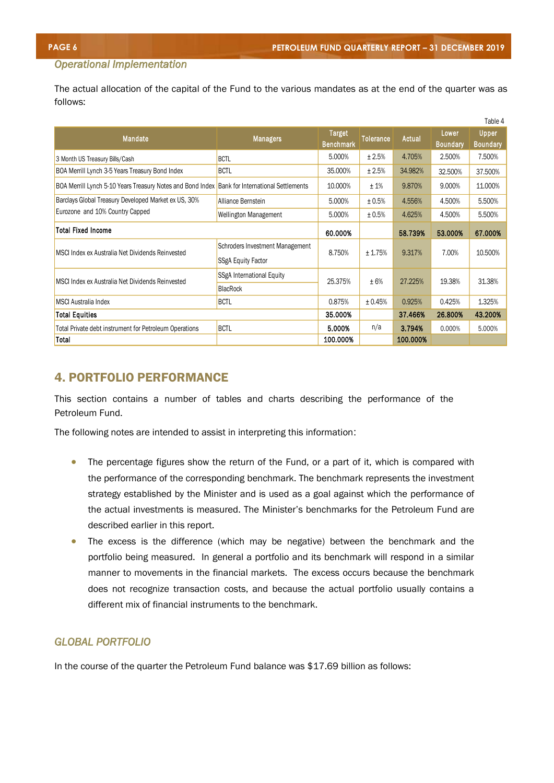$T \times T$ 

#### *Operational Implementation*

The actual allocation of the capital of the Fund to the various mandates as at the end of the quarter was as follows:

|                                                                                               |                                 |                                   |                  |          | Lower           | Table 4                         |
|-----------------------------------------------------------------------------------------------|---------------------------------|-----------------------------------|------------------|----------|-----------------|---------------------------------|
| Mandate                                                                                       | <b>Managers</b>                 | <b>Target</b><br><b>Benchmark</b> | <b>Tolerance</b> | Actual   | <b>Boundary</b> | <b>Upper</b><br><b>Boundary</b> |
| 3 Month US Treasury Bills/Cash                                                                | <b>BCTL</b>                     | 5.000%                            | ± 2.5%           | 4.705%   | 2.500%          | 7.500%                          |
| BOA Merrill Lynch 3-5 Years Treasury Bond Index                                               | <b>BCTL</b>                     | 35,000%                           | ± 2.5%           | 34.982%  | 32.500%         | 37.500%                         |
| BOA Merrill Lynch 5-10 Years Treasury Notes and Bond Index Bank for International Settlements |                                 | 10.000%                           | ±1%              | 9.870%   | 9.000%          | 11.000%                         |
| Barclays Global Treasury Developed Market ex US, 30%                                          | Alliance Bernstein              | 5.000%                            | ± 0.5%           | 4.556%   | 4.500%          | 5.500%                          |
| Eurozone and 10% Country Capped                                                               | <b>Wellington Management</b>    | 5.000%                            | ± 0.5%           | 4.625%   | 4.500%          | 5.500%                          |
| <b>Total Fixed Income</b>                                                                     |                                 | 60.000%                           |                  | 58.739%  | 53.000%         | 67.000%                         |
|                                                                                               | Schroders Investment Management |                                   |                  |          |                 |                                 |
| MSCI Index ex Australia Net Dividends Reinvested                                              | <b>SSgA Equity Factor</b>       | 8.750%                            | ± 1.75%          | 9.317%   | 7.00%           | 10.500%                         |
| MSCI Index ex Australia Net Dividends Reinvested                                              | SSgA International Equity       | 25.375%                           | ±6%              | 27.225%  | 19.38%          | 31.38%                          |
|                                                                                               | <b>BlacRock</b>                 |                                   |                  |          |                 |                                 |
| <b>MSCI</b> Australia Index                                                                   | <b>BCTL</b>                     | 0.875%                            | ± 0.45%          | 0.925%   | 0.425%          | 1.325%                          |
| Total Equities                                                                                |                                 | 35,000%                           |                  | 37,466%  | 26,800%         | 43.200%                         |
| Total Private debt instrument for Petroleum Operations                                        | <b>BCTL</b>                     | 5.000%                            | n/a              | 3.794%   | 0.000%          | 5.000%                          |
| Total                                                                                         |                                 | 100.000%                          |                  | 100.000% |                 |                                 |

#### 4. PORTFOLIO PERFORMANCE

This section contains a number of tables and charts describing the performance of the Petroleum Fund.

The following notes are intended to assist in interpreting this information:

- The percentage figures show the return of the Fund, or a part of it, which is compared with the performance of the corresponding benchmark. The benchmark represents the investment strategy established by the Minister and is used as a goal against which the performance of the actual investments is measured. The Minister's benchmarks for the Petroleum Fund are described earlier in this report.
- The excess is the difference (which may be negative) between the benchmark and the portfolio being measured. In general a portfolio and its benchmark will respond in a similar manner to movements in the financial markets. The excess occurs because the benchmark does not recognize transaction costs, and because the actual portfolio usually contains a different mix of financial instruments to the benchmark.

#### *GLOBAL PORTFOLIO*

In the course of the quarter the Petroleum Fund balance was \$17.69 billion as follows: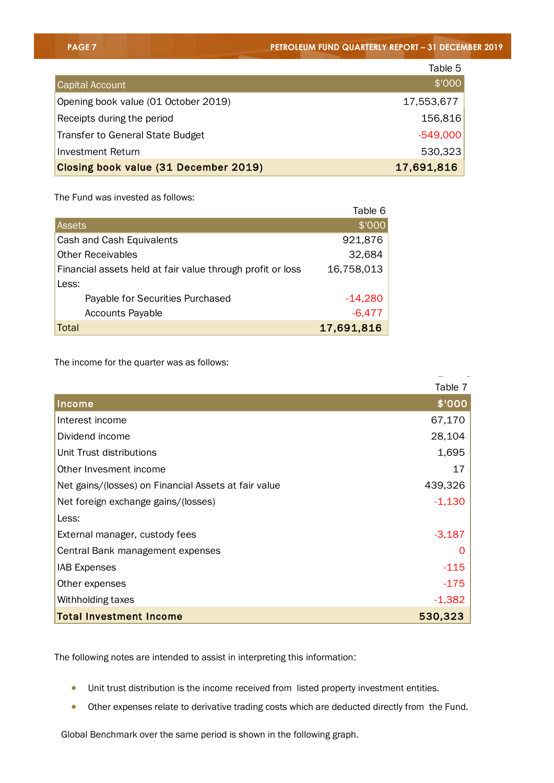|                                       | Table 5    |
|---------------------------------------|------------|
| <b>Capital Account</b>                | \$'000     |
| Opening book value (01 October 2019)  | 17,553,677 |
| Receipts during the period            | 156,816    |
| Transfer to General State Budget      | $-549,000$ |
| Investment Return                     | 530,323    |
| Closing book value (31 December 2019) | 17,691,816 |

The Fund was invested as follows:

|                                                            | Table 6    |
|------------------------------------------------------------|------------|
| <b>Assets</b>                                              | \$'000     |
| Cash and Cash Equivalents                                  | 921,876    |
| <b>Other Receivables</b>                                   | 32,684     |
| Financial assets held at fair value through profit or loss | 16,758,013 |
| Less:                                                      |            |
| Payable for Securities Purchased                           | $-14,280$  |
| <b>Accounts Payable</b>                                    | $-6,477$   |
| <b>Total</b>                                               | 17,691,816 |

The income for the quarter was as follows:

|                                                      | Table 7  |
|------------------------------------------------------|----------|
| Income                                               | \$'000   |
| Interest income                                      | 67,170   |
| Dividend income                                      | 28,104   |
| Unit Trust distributions                             | 1,695    |
| Other Invesment income                               | 17       |
| Net gains/(losses) on Financial Assets at fair value | 439,326  |
| Net foreign exchange gains/(losses)                  | $-1,130$ |
| Less:                                                |          |
| External manager, custody fees                       | $-3,187$ |
| Central Bank management expenses                     |          |
| <b>IAB Expenses</b>                                  | $-115$   |
| Other expenses                                       | $-175$   |
| Withholding taxes                                    | $-1,382$ |
| <b>Total Investment Income</b>                       | 530,323  |

The following notes are intended to assist in interpreting this information:

- Unit trust distribution is the income received from listed property investment entities.
- Other expenses relate to derivative trading costs which are deducted directly from the Fund.

Global Benchmark over the same period is shown in the following graph.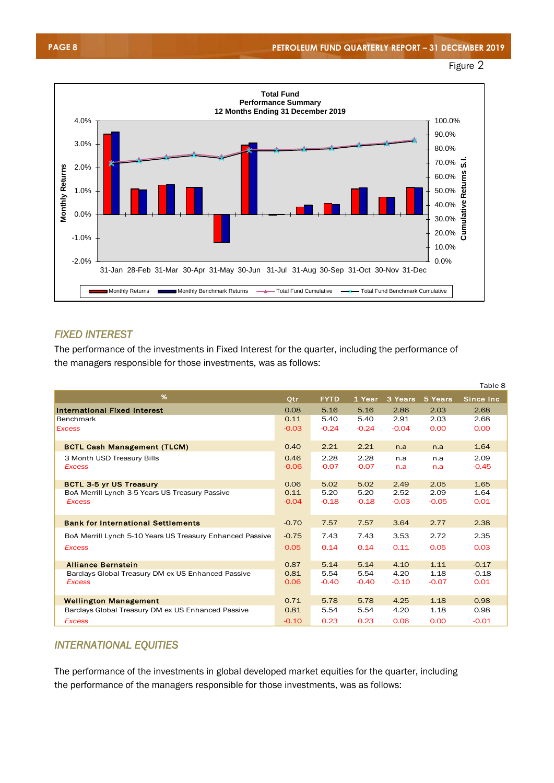





#### *FIXED INTEREST*

The performance of the investments in Fixed Interest for the quarter, including the performance of the managers responsible for those investments, was as follows:

|                                                           |            |             |         |         |         | Table 8   |
|-----------------------------------------------------------|------------|-------------|---------|---------|---------|-----------|
| %                                                         | <b>Qtr</b> | <b>FYTD</b> | 1 Year  | 3 Years | 5 Years | Since Inc |
| <b>International Fixed Interest</b>                       | 0.08       | 5.16        | 5.16    | 2.86    | 2.03    | 2.68      |
| <b>Benchmark</b>                                          | 0.11       | 5.40        | 5.40    | 2.91    | 2.03    | 2.68      |
| <b>Excess</b>                                             | $-0.03$    | $-0.24$     | $-0.24$ | $-0.04$ | 0.00    | 0.00      |
| <b>BCTL Cash Management (TLCM)</b>                        | 0.40       | 2.21        | 2.21    | n.a     | n.a     | 1.64      |
| 3 Month USD Treasury Bills                                | 0.46       | 2.28        | 2.28    | n.a     | n.a     | 2.09      |
| <b>Excess</b>                                             | $-0.06$    | $-0.07$     | $-0.07$ | n.a     | n.a     | $-0.45$   |
| <b>BCTL 3-5 yr US Treasury</b>                            | 0.06       | 5.02        | 5.02    | 2.49    | 2.05    | 1.65      |
| BoA Merrill Lynch 3-5 Years US Treasury Passive           | 0.11       | 5.20        | 5.20    | 2.52    | 2.09    | 1.64      |
| <b>Excess</b>                                             | $-0.04$    | $-0.18$     | $-0.18$ | $-0.03$ | $-0.05$ | 0.01      |
| <b>Bank for International Settlements</b>                 | $-0.70$    | 7.57        | 7.57    | 3.64    | 2.77    | 2.38      |
| BoA Merrill Lynch 5-10 Years US Treasury Enhanced Passive | $-0.75$    | 7.43        | 7.43    | 3.53    | 2.72    | 2.35      |
| <b>Excess</b>                                             | 0.05       | 0.14        | 0.14    | 0.11    | 0.05    | 0.03      |
| <b>Alliance Bernstein</b>                                 | 0.87       | 5.14        | 5.14    | 4.10    | 1.11    | $-0.17$   |
| Barclays Global Treasury DM ex US Enhanced Passive        | 0.81       | 5.54        | 5.54    | 4.20    | 1.18    | $-0.18$   |
| <b>Excess</b>                                             | 0.06       | $-0.40$     | $-0.40$ | $-0.10$ | $-0.07$ | 0.01      |
| <b>Wellington Management</b>                              | 0.71       | 5.78        | 5.78    | 4.25    | 1.18    | 0.98      |
| Barclays Global Treasury DM ex US Enhanced Passive        | 0.81       | 5.54        | 5.54    | 4.20    | 1.18    | 0.98      |
| <b>Excess</b>                                             | $-0.10$    | 0.23        | 0.23    | 0.06    | 0.00    | $-0.01$   |

#### *INTERNATIONAL EQUITIES*

The performance of the investments in global developed market equities for the quarter, including the performance of the managers responsible for those investments, was as follows: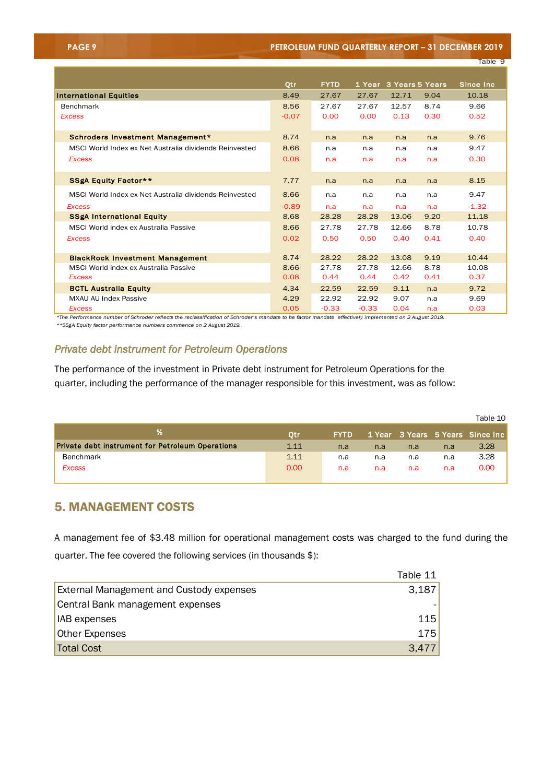| <b>PAGE 9</b> |  |
|---------------|--|
|               |  |

**PAGE 9 PETROLEUM FUND QUARTERLY REPORT – 31 DECEMBER 2019**

|                                                        |         |             |         |                        |      | Table 9    |
|--------------------------------------------------------|---------|-------------|---------|------------------------|------|------------|
|                                                        |         |             |         |                        |      |            |
|                                                        | Otr     | <b>FYTD</b> |         | 1 Year 3 Years 5 Years |      | Since Inc. |
| <b>International Equities</b>                          | 8.49    | 27.67       | 27.67   | 12.71                  | 9.04 | 10.18      |
| <b>Benchmark</b>                                       | 8.56    | 27.67       | 27.67   | 12.57                  | 8.74 | 9.66       |
| <b>Excess</b>                                          | $-0.07$ | 0.00        | 0.00    | 0.13                   | 0.30 | 0.52       |
|                                                        |         |             |         |                        |      |            |
| Schroders Investment Management*                       | 8.74    | n.a         | n.a     | n.a                    | n.a  | 9.76       |
| MSCI World Index ex Net Australia dividends Reinvested | 8.66    | n.a         | n.a     | n.a                    | n.a  | 9.47       |
| <b>Excess</b>                                          | 0.08    | n.a         | n.a     | n.a                    | n.a  | 0.30       |
|                                                        |         |             |         |                        |      |            |
| <b>SSgA Equity Factor**</b>                            | 7.77    | n.a         | n.a     | n.a                    | n.a  | 8.15       |
| MSCI World Index ex Net Australia dividends Reinvested | 8.66    | n.a         | n.a     | n.a                    | n.a  | 9.47       |
| <b>Excess</b>                                          | $-0.89$ | n.a         | n.a     | n.a                    | n.a  | $-1.32$    |
| <b>SSgA International Equity</b>                       | 8.68    | 28.28       | 28.28   | 13.06                  | 9.20 | 11.18      |
| MSCI World index ex Australia Passive                  | 8.66    | 27.78       | 27.78   | 12.66                  | 8.78 | 10.78      |
| <b>Excess</b>                                          | 0.02    | 0.50        | 0.50    | 0.40                   | 0.41 | 0.40       |
|                                                        |         |             |         |                        |      |            |
| <b>BlackRock Investment Management</b>                 | 8.74    | 28.22       | 28.22   | 13.08                  | 9.19 | 10.44      |
| MSCI World index ex Australia Passive                  | 8.66    | 27.78       | 27.78   | 12.66                  | 8.78 | 10.08      |
| <b>Excess</b>                                          | 0.08    | 0.44        | 0.44    | 0.42                   | 0.41 | 0.37       |
| <b>BCTL Australia Equity</b>                           | 4.34    | 22.59       | 22.59   | 9.11                   | n.a  | 9.72       |
| <b>MXAU AU Index Passive</b>                           | 4.29    | 22.92       | 22.92   | 9.07                   | n.a  | 9.69       |
| <b>Excess</b>                                          | 0.05    | $-0.33$     | $-0.33$ | 0.04                   | n.a  | 0.03       |

*\*The Performance number of Schroder reflects the reclassification of Schroder's mandate to be factor mandate effectively implemented on 2 August 2019. \*\*SSgA Equity factor performance numbers commence on 2 August 2019.* 

#### *Private debt instrument for Petroleum Operations*

The performance of the investment in Private debt instrument for Petroleum Operations for the quarter, including the performance of the manager responsible for this investment, was as follow:

|                                                         |                   |             |     |     |     | Table 10                         |
|---------------------------------------------------------|-------------------|-------------|-----|-----|-----|----------------------------------|
|                                                         | Otr               | <b>FYTD</b> |     |     |     | 1 Year 3 Years 5 Years Since Inc |
| <b>Private debt instrument for Petroleum Operations</b> | 1.11              | n.a         | n.a | n.a | n.a | 3.28                             |
| <b>Benchmark</b>                                        | 1.11              | n.a         | n.a | n.a | n.a | 3.28                             |
| <b>Excess</b>                                           | 0.00 <sub>1</sub> | n.a         | n.a | n.a | n.a | 0.00                             |
|                                                         |                   |             |     |     |     |                                  |

#### 5. MANAGEMENT COSTS

A management fee of \$3.48 million for operational management costs was charged to the fund during the quarter. The fee covered the following services (in thousands \$):

|                                                 | Table 11 |
|-------------------------------------------------|----------|
| <b>External Management and Custody expenses</b> | 3,187    |
| Central Bank management expenses                |          |
| <b>IAB</b> expenses                             | 115      |
| Other Expenses                                  | 175      |
| Total Cost                                      | 3,477    |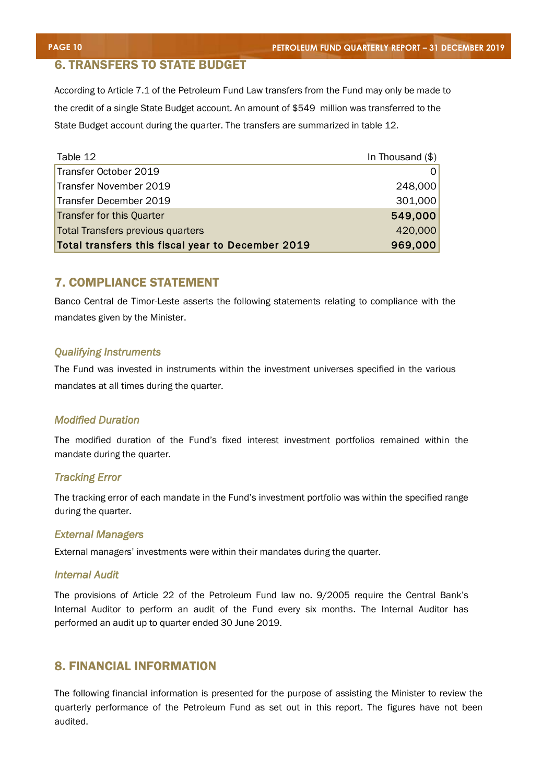#### 6. TRANSFERS TO STATE BUDGET

According to Article 7.1 of the Petroleum Fund Law transfers from the Fund may only be made to the credit of a single State Budget account. An amount of \$549 million was transferred to the State Budget account during the quarter. The transfers are summarized in table 12.

| Table 12                                          | In Thousand $(\$)$ |
|---------------------------------------------------|--------------------|
| Transfer October 2019                             |                    |
| Transfer November 2019                            | 248,000            |
| Transfer December 2019                            | 301,000            |
| Transfer for this Quarter                         | 549,000            |
| Total Transfers previous quarters                 | 420,000            |
| Total transfers this fiscal year to December 2019 | 969,000            |

#### 7. COMPLIANCE STATEMENT

Banco Central de Timor-Leste asserts the following statements relating to compliance with the mandates given by the Minister.

#### *Qualifying Instruments*

The Fund was invested in instruments within the investment universes specified in the various mandates at all times during the quarter.

#### *Modified Duration*

The modified duration of the Fund's fixed interest investment portfolios remained within the mandate during the quarter.

#### *Tracking Error*

The tracking error of each mandate in the Fund's investment portfolio was within the specified range during the quarter.

#### *External Managers*

External managers' investments were within their mandates during the quarter.

#### *Internal Audit*

The provisions of Article 22 of the Petroleum Fund law no. 9/2005 require the Central Bank's Internal Auditor to perform an audit of the Fund every six months. The Internal Auditor has performed an audit up to quarter ended 30 June 2019.

#### 8. FINANCIAL INFORMATION

The following financial information is presented for the purpose of assisting the Minister to review the quarterly performance of the Petroleum Fund as set out in this report. The figures have not been audited.